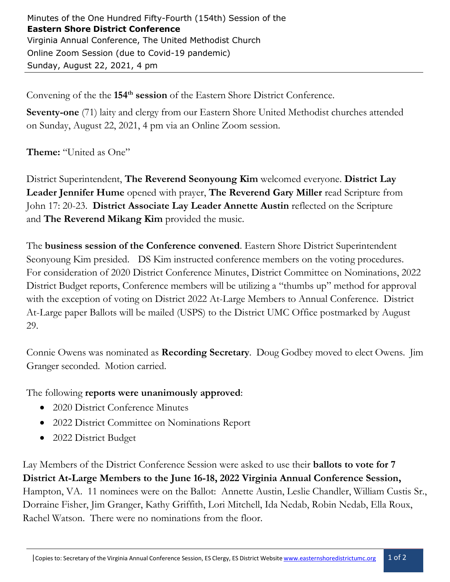Minutes of the One Hundred Fifty-Fourth (154th) Session of the **Eastern Shore District Conference** Virginia Annual Conference, The United Methodist Church Online Zoom Session (due to Covid-19 pandemic) Sunday, August 22, 2021, 4 pm

Convening of the the 154<sup>th</sup> session of the Eastern Shore District Conference.

**Seventy-one** (71) laity and clergy from our Eastern Shore United Methodist churches attended on Sunday, August 22, 2021, 4 pm via an Online Zoom session.

**Theme:** "United as One"

District Superintendent, **The Reverend Seonyoung Kim** welcomed everyone. **District Lay Leader Jennifer Hume** opened with prayer, **The Reverend Gary Miller** read Scripture from John 17: 20-23. **District Associate Lay Leader Annette Austin** reflected on the Scripture and **The Reverend Mikang Kim** provided the music.

The **business session of the Conference convened**. Eastern Shore District Superintendent Seonyoung Kim presided. DS Kim instructed conference members on the voting procedures. For consideration of 2020 District Conference Minutes, District Committee on Nominations, 2022 District Budget reports, Conference members will be utilizing a "thumbs up" method for approval with the exception of voting on District 2022 At-Large Members to Annual Conference. District At-Large paper Ballots will be mailed (USPS) to the District UMC Office postmarked by August 29.

Connie Owens was nominated as **Recording Secretary**. Doug Godbey moved to elect Owens. Jim Granger seconded. Motion carried.

The following **reports were unanimously approved**:

- 2020 District Conference Minutes
- 2022 District Committee on Nominations Report
- 2022 District Budget

Lay Members of the District Conference Session were asked to use their **ballots to vote for 7 District At-Large Members to the June 16-18, 2022 Virginia Annual Conference Session,** Hampton, VA. 11 nominees were on the Ballot: Annette Austin, Leslie Chandler, William Custis Sr., Dorraine Fisher, Jim Granger, Kathy Griffith, Lori Mitchell, Ida Nedab, Robin Nedab, Ella Roux, Rachel Watson. There were no nominations from the floor.